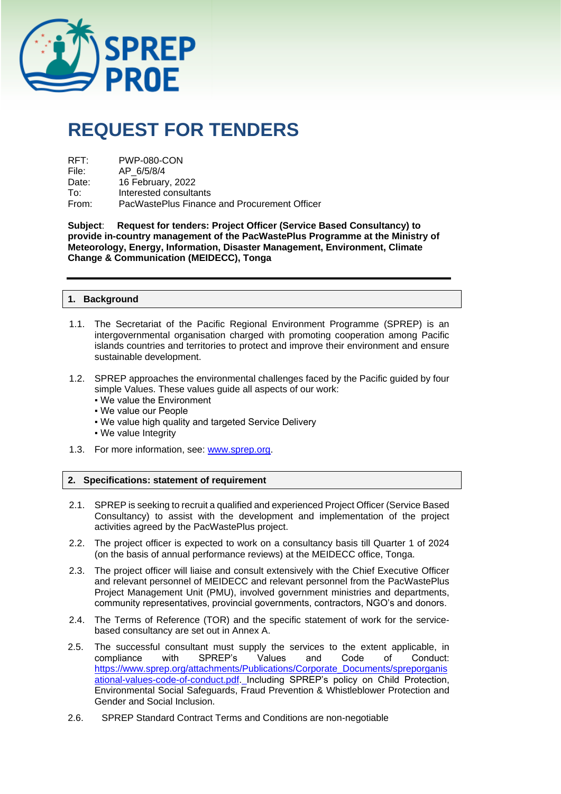

# **REQUEST FOR TENDERS**

| RFT:  | <b>PWP-080-CON</b>                           |
|-------|----------------------------------------------|
| File: | AP 6/5/8/4                                   |
| Date: | 16 February, 2022                            |
| To∶   | Interested consultants                       |
| From: | PacWastePlus Finance and Procurement Officer |

**Subject**: **Request for tenders: Project Officer (Service Based Consultancy) to provide in-country management of the PacWastePlus Programme at the Ministry of Meteorology, Energy, Information, Disaster Management, Environment, Climate Change & Communication (MEIDECC), Tonga**

## **1. Background**

- 1.1. The Secretariat of the Pacific Regional Environment Programme (SPREP) is an intergovernmental organisation charged with promoting cooperation among Pacific islands countries and territories to protect and improve their environment and ensure sustainable development.
- 1.2. SPREP approaches the environmental challenges faced by the Pacific guided by four simple Values. These values guide all aspects of our work:
	- We value the Environment
	- We value our People
	- We value high quality and targeted Service Delivery
	- We value Integrity
- 1.3. For more information, see: [www.sprep.org.](http://www.sprep.org/)

## **2. Specifications: statement of requirement**

- 2.1. SPREP is seeking to recruit a qualified and experienced Project Officer (Service Based Consultancy) to assist with the development and implementation of the project activities agreed by the PacWastePlus project.
- 2.2. The project officer is expected to work on a consultancy basis till Quarter 1 of 2024 (on the basis of annual performance reviews) at the MEIDECC office, Tonga.
- 2.3. The project officer will liaise and consult extensively with the Chief Executive Officer and relevant personnel of MEIDECC and relevant personnel from the PacWastePlus Project Management Unit (PMU), involved government ministries and departments, community representatives, provincial governments, contractors, NGO's and donors.
- 2.4. The Terms of Reference (TOR) and the specific statement of work for the servicebased consultancy are set out in Annex A.
- 2.5. The successful consultant must supply the services to the extent applicable, in compliance with SPREP's Values and Code of Conduct: compliance with SPREP's Values and Code of Conduct: [https://www.sprep.org/attachments/Publications/Corporate\\_Documents/spreporganis](https://www.sprep.org/attachments/Publications/Corporate_Documents/spreporganisational-values-code-of-conduct.pdf) [ational-values-code-of-conduct.pdf.](https://www.sprep.org/attachments/Publications/Corporate_Documents/spreporganisational-values-code-of-conduct.pdf) Including SPREP's policy on Child Protection, Environmental Social Safeguards, Fraud Prevention & Whistleblower Protection and Gender and Social Inclusion.
- 2.6. SPREP Standard Contract Terms and Conditions are non-negotiable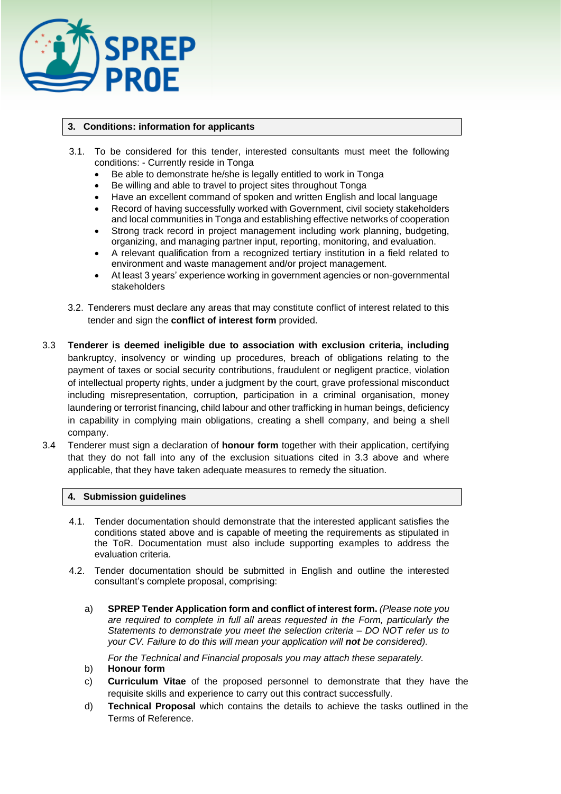

## **3. Conditions: information for applicants**

- 3.1. To be considered for this tender, interested consultants must meet the following conditions: - Currently reside in Tonga
	- Be able to demonstrate he/she is legally entitled to work in Tonga
	- Be willing and able to travel to project sites throughout Tonga
	- Have an excellent command of spoken and written English and local language
	- Record of having successfully worked with Government, civil society stakeholders and local communities in Tonga and establishing effective networks of cooperation
	- Strong track record in project management including work planning, budgeting, organizing, and managing partner input, reporting, monitoring, and evaluation.
	- A relevant qualification from a recognized tertiary institution in a field related to environment and waste management and/or project management.
	- At least 3 years' experience working in government agencies or non-governmental stakeholders
- 3.2. Tenderers must declare any areas that may constitute conflict of interest related to this tender and sign the **conflict of interest form** provided.
- 3.3 **Tenderer is deemed ineligible due to association with exclusion criteria, including**  bankruptcy, insolvency or winding up procedures, breach of obligations relating to the payment of taxes or social security contributions, fraudulent or negligent practice, violation of intellectual property rights, under a judgment by the court, grave professional misconduct including misrepresentation, corruption, participation in a criminal organisation, money laundering or terrorist financing, child labour and other trafficking in human beings, deficiency in capability in complying main obligations, creating a shell company, and being a shell company.
- 3.4 Tenderer must sign a declaration of **honour form** together with their application, certifying that they do not fall into any of the exclusion situations cited in 3.3 above and where applicable, that they have taken adequate measures to remedy the situation.

## **4. Submission guidelines**

- 4.1. Tender documentation should demonstrate that the interested applicant satisfies the conditions stated above and is capable of meeting the requirements as stipulated in the ToR. Documentation must also include supporting examples to address the evaluation criteria.
- 4.2. Tender documentation should be submitted in English and outline the interested consultant's complete proposal, comprising:
	- a) **SPREP Tender Application form and conflict of interest form.** *(Please note you are required to complete in full all areas requested in the Form, particularly the Statements to demonstrate you meet the selection criteria – DO NOT refer us to your CV. Failure to do this will mean your application will not be considered).*

*For the Technical and Financial proposals you may attach these separately.* 

- b) **Honour form**
- c) **Curriculum Vitae** of the proposed personnel to demonstrate that they have the requisite skills and experience to carry out this contract successfully.
- d) **Technical Proposal** which contains the details to achieve the tasks outlined in the Terms of Reference.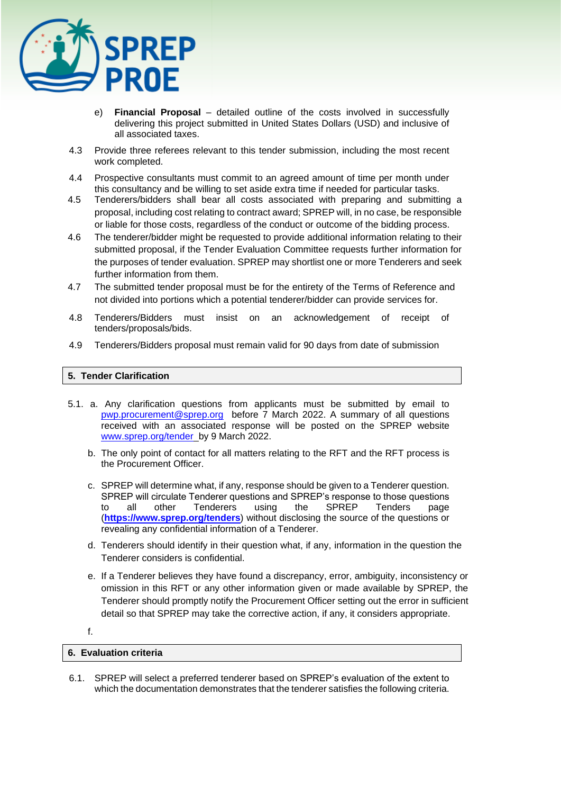

- e) **Financial Proposal** detailed outline of the costs involved in successfully delivering this project submitted in United States Dollars (USD) and inclusive of all associated taxes.
- 4.3 Provide three referees relevant to this tender submission, including the most recent work completed.
- 4.4 Prospective consultants must commit to an agreed amount of time per month under this consultancy and be willing to set aside extra time if needed for particular tasks.
- 4.5 Tenderers/bidders shall bear all costs associated with preparing and submitting a proposal, including cost relating to contract award; SPREP will, in no case, be responsible or liable for those costs, regardless of the conduct or outcome of the bidding process.
- 4.6 The tenderer/bidder might be requested to provide additional information relating to their submitted proposal, if the Tender Evaluation Committee requests further information for the purposes of tender evaluation. SPREP may shortlist one or more Tenderers and seek further information from them.
- 4.7 The submitted tender proposal must be for the entirety of the Terms of Reference and not divided into portions which a potential tenderer/bidder can provide services for.
- 4.8 Tenderers/Bidders must insist on an acknowledgement of receipt of tenders/proposals/bids.
- 4.9 Tenderers/Bidders proposal must remain valid for 90 days from date of submission

## **5. Tender Clarification**

- 5.1. a. Any clarification questions from applicants must be submitted by email to [pwp.procurement@sprep.org](mailto:pwp.procurement@sprep.org) before 7 March 2022. A summary of all questions received with an associated response will be posted on the SPREP website [www.sprep.org/tender](http://www.sprep.org/tender) by 9 March 2022.
	- b. The only point of contact for all matters relating to the RFT and the RFT process is the Procurement Officer.
	- c. SPREP will determine what, if any, response should be given to a Tenderer question. SPREP will circulate Tenderer questions and SPREP's response to those questions to all other Tenderers using the SPREP Tenders page (**<https://www.sprep.org/tenders>**) without disclosing the source of the questions or revealing any confidential information of a Tenderer.
	- d. Tenderers should identify in their question what, if any, information in the question the Tenderer considers is confidential.
	- e. If a Tenderer believes they have found a discrepancy, error, ambiguity, inconsistency or omission in this RFT or any other information given or made available by SPREP, the Tenderer should promptly notify the Procurement Officer setting out the error in sufficient detail so that SPREP may take the corrective action, if any, it considers appropriate.

## f.

## **6. Evaluation criteria**

6.1. SPREP will select a preferred tenderer based on SPREP's evaluation of the extent to which the documentation demonstrates that the tenderer satisfies the following criteria.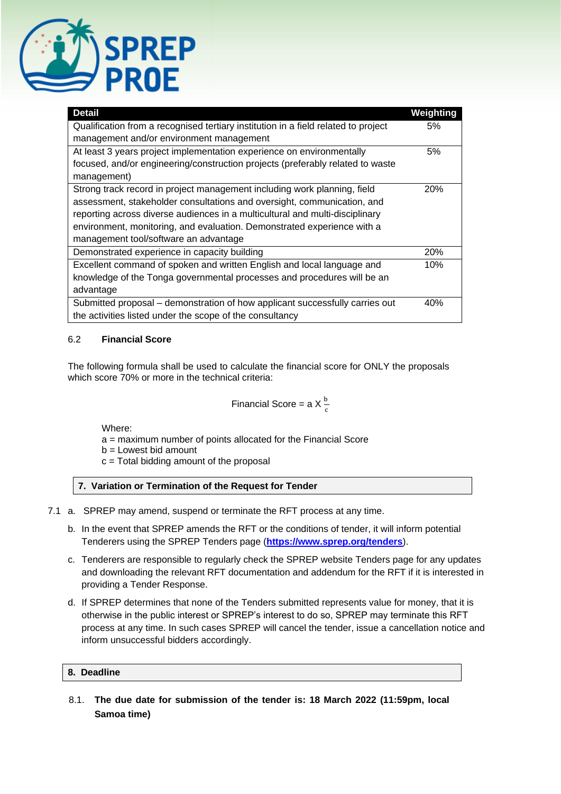

| <b>Detail</b>                                                                      | Weighting  |
|------------------------------------------------------------------------------------|------------|
| Qualification from a recognised tertiary institution in a field related to project |            |
| management and/or environment management                                           |            |
| At least 3 years project implementation experience on environmentally              |            |
| focused, and/or engineering/construction projects (preferably related to waste     |            |
| management)                                                                        |            |
| Strong track record in project management including work planning, field           | <b>20%</b> |
| assessment, stakeholder consultations and oversight, communication, and            |            |
| reporting across diverse audiences in a multicultural and multi-disciplinary       |            |
| environment, monitoring, and evaluation. Demonstrated experience with a            |            |
| management tool/software an advantage                                              |            |
| Demonstrated experience in capacity building                                       | 20%        |
| Excellent command of spoken and written English and local language and             | 10%        |
| knowledge of the Tonga governmental processes and procedures will be an            |            |
| advantage                                                                          |            |
| Submitted proposal - demonstration of how applicant successfully carries out       | 40%        |
| the activities listed under the scope of the consultancy                           |            |

## 6.2 **Financial Score**

The following formula shall be used to calculate the financial score for ONLY the proposals which score 70% or more in the technical criteria:

Financial Score = a X 
$$
\frac{b}{c}
$$

Where:

- a = maximum number of points allocated for the Financial Score
- $b =$  Lowest bid amount
- c = Total bidding amount of the proposal

## **7. Variation or Termination of the Request for Tender**

- 7.1 a. SPREP may amend, suspend or terminate the RFT process at any time.
	- b. In the event that SPREP amends the RFT or the conditions of tender, it will inform potential Tenderers using the SPREP Tenders page (**<https://www.sprep.org/tenders>**).
	- c. Tenderers are responsible to regularly check the SPREP website Tenders page for any updates and downloading the relevant RFT documentation and addendum for the RFT if it is interested in providing a Tender Response.
	- d. If SPREP determines that none of the Tenders submitted represents value for money, that it is otherwise in the public interest or SPREP's interest to do so, SPREP may terminate this RFT process at any time. In such cases SPREP will cancel the tender, issue a cancellation notice and inform unsuccessful bidders accordingly.

## **8. Deadline**

8.1. **The due date for submission of the tender is: 18 March 2022 (11:59pm, local Samoa time)**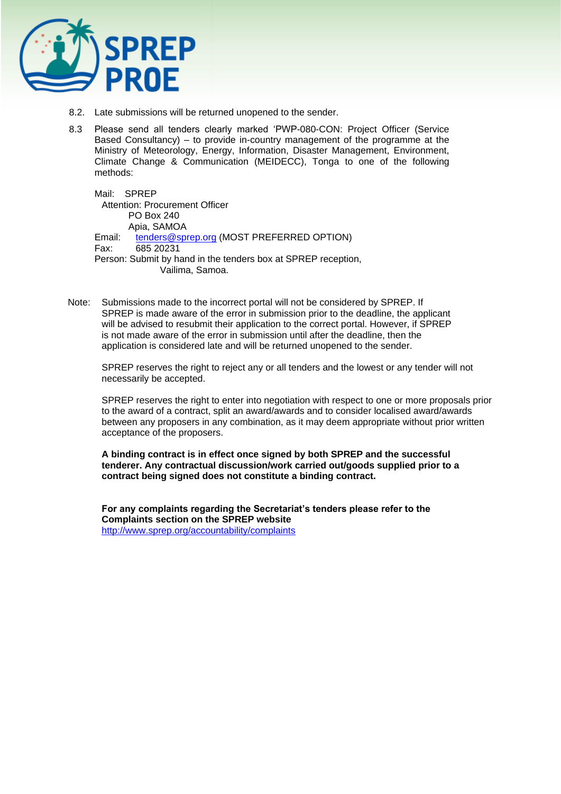

- 8.2. Late submissions will be returned unopened to the sender.
- 8.3 Please send all tenders clearly marked 'PWP-080-CON: Project Officer (Service Based Consultancy) – to provide in-country management of the programme at the Ministry of Meteorology, Energy, Information, Disaster Management, Environment, Climate Change & Communication (MEIDECC), Tonga to one of the following methods:

Mail: SPREP Attention: Procurement Officer PO Box 240 Apia, SAMOA Email: [tenders@sprep.org](mailto:tenders@sprep.org) (MOST PREFERRED OPTION) Fax: 685 20231 Person: Submit by hand in the tenders box at SPREP reception, Vailima, Samoa.

Note: Submissions made to the incorrect portal will not be considered by SPREP. If SPREP is made aware of the error in submission prior to the deadline, the applicant will be advised to resubmit their application to the correct portal. However, if SPREP is not made aware of the error in submission until after the deadline, then the application is considered late and will be returned unopened to the sender.

SPREP reserves the right to reject any or all tenders and the lowest or any tender will not necessarily be accepted.

SPREP reserves the right to enter into negotiation with respect to one or more proposals prior to the award of a contract, split an award/awards and to consider localised award/awards between any proposers in any combination, as it may deem appropriate without prior written acceptance of the proposers.

**A binding contract is in effect once signed by both SPREP and the successful tenderer. Any contractual discussion/work carried out/goods supplied prior to a contract being signed does not constitute a binding contract.** 

**For any complaints regarding the Secretariat's tenders please refer to the Complaints section on the SPREP website**  <http://www.sprep.org/accountability/complaints>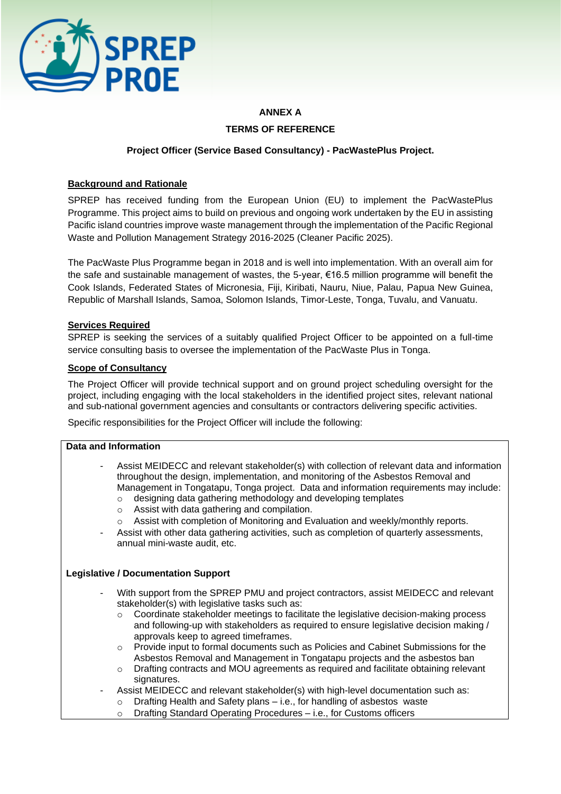

# **ANNEX A TERMS OF REFERENCE**

# **Project Officer (Service Based Consultancy) - PacWastePlus Project.**

# **Background and Rationale**

SPREP has received funding from the European Union (EU) to implement the PacWastePlus Programme. This project aims to build on previous and ongoing work undertaken by the EU in assisting Pacific island countries improve waste management through the implementation of the Pacific Regional Waste and Pollution Management Strategy 2016-2025 (Cleaner Pacific 2025).

The PacWaste Plus Programme began in 2018 and is well into implementation. With an overall aim for the safe and sustainable management of wastes, the 5-year, €16.5 million programme will benefit the Cook Islands, Federated States of Micronesia, Fiji, Kiribati, Nauru, Niue, Palau, Papua New Guinea, Republic of Marshall Islands, Samoa, Solomon Islands, Timor-Leste, Tonga, Tuvalu, and Vanuatu.

## **Services Required**

SPREP is seeking the services of a suitably qualified Project Officer to be appointed on a full-time service consulting basis to oversee the implementation of the PacWaste Plus in Tonga.

## **Scope of Consultancy**

The Project Officer will provide technical support and on ground project scheduling oversight for the project, including engaging with the local stakeholders in the identified project sites, relevant national and sub-national government agencies and consultants or contractors delivering specific activities.

Specific responsibilities for the Project Officer will include the following:

## **Data and Information**

- Assist MEIDECC and relevant stakeholder(s) with collection of relevant data and information throughout the design, implementation, and monitoring of the Asbestos Removal and Management in Tongatapu, Tonga project. Data and information requirements may include:
	- o designing data gathering methodology and developing templates
	- o Assist with data gathering and compilation.
	- o Assist with completion of Monitoring and Evaluation and weekly/monthly reports.
- Assist with other data gathering activities, such as completion of quarterly assessments, annual mini-waste audit, etc.

## **Legislative / Documentation Support**

- With support from the SPREP PMU and project contractors, assist MEIDECC and relevant stakeholder(s) with legislative tasks such as:
	- o Coordinate stakeholder meetings to facilitate the legislative decision-making process and following-up with stakeholders as required to ensure legislative decision making / approvals keep to agreed timeframes.
	- o Provide input to formal documents such as Policies and Cabinet Submissions for the Asbestos Removal and Management in Tongatapu projects and the asbestos ban
	- o Drafting contracts and MOU agreements as required and facilitate obtaining relevant signatures.
	- Assist MEIDECC and relevant stakeholder(s) with high-level documentation such as:
		- o Drafting Health and Safety plans i.e., for handling of asbestos waste
		- o Drafting Standard Operating Procedures i.e., for Customs officers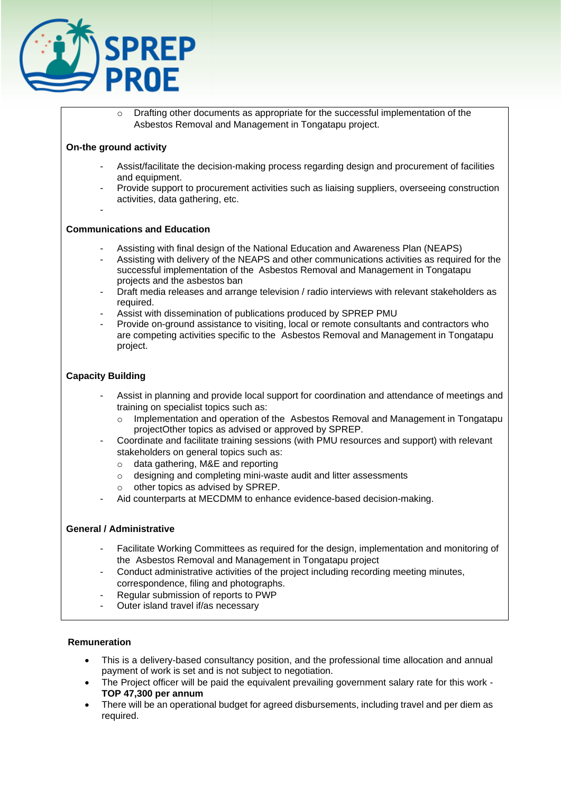

 $\circ$  Drafting other documents as appropriate for the successful implementation of the Asbestos Removal and Management in Tongatapu project.

## **On-the ground activity**

- Assist/facilitate the decision-making process regarding design and procurement of facilities and equipment.
- Provide support to procurement activities such as liaising suppliers, overseeing construction activities, data gathering, etc.
- -

## **Communications and Education**

- Assisting with final design of the National Education and Awareness Plan (NEAPS)
- Assisting with delivery of the NEAPS and other communications activities as required for the successful implementation of the Asbestos Removal and Management in Tongatapu projects and the asbestos ban
- Draft media releases and arrange television / radio interviews with relevant stakeholders as required.
- Assist with dissemination of publications produced by SPREP PMU
- Provide on-ground assistance to visiting, local or remote consultants and contractors who are competing activities specific to the Asbestos Removal and Management in Tongatapu project.

## **Capacity Building**

- Assist in planning and provide local support for coordination and attendance of meetings and training on specialist topics such as:
	- o Implementation and operation of the Asbestos Removal and Management in Tongatapu projectOther topics as advised or approved by SPREP.
- Coordinate and facilitate training sessions (with PMU resources and support) with relevant stakeholders on general topics such as:
	- o data gathering, M&E and reporting
	- o designing and completing mini-waste audit and litter assessments
	- $\circ$  other topics as advised by SPREP.
- Aid counterparts at MECDMM to enhance evidence-based decision-making.

## **General / Administrative**

- Facilitate Working Committees as required for the design, implementation and monitoring of the Asbestos Removal and Management in Tongatapu project
- Conduct administrative activities of the project including recording meeting minutes, correspondence, filing and photographs.
- Regular submission of reports to PWP
- Outer island travel if/as necessary

## **Remuneration**

- This is a delivery-based consultancy position, and the professional time allocation and annual payment of work is set and is not subject to negotiation.
- The Project officer will be paid the equivalent prevailing government salary rate for this work **TOP 47,300 per annum**
- There will be an operational budget for agreed disbursements, including travel and per diem as required.